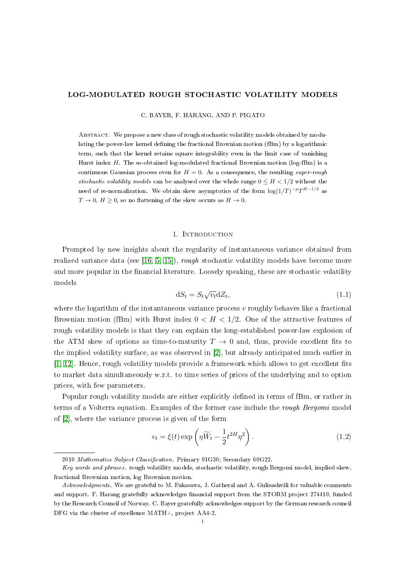# LOG-MODULATED ROUGH STOCHASTIC VOLATILITY MODELS

C. BAYER, F. HARANG, AND P. PIGATO

ABSTRACT. We propose a new class of rough stochastic volatility models obtained by modulating the power-law kernel defining the fractional Brownian motion (fBm) by a logarithmic term, such that the kernel retains square integrability even in the limit case of vanishing Hurst index  $H$ . The so-obtained log-modulated fractional Brownian motion (log-fBm) is a continuous Gaussian process even for  $H = 0$ . As a consequence, the resulting super-rough stochastic volatility models can be analysed over the whole range  $0 \leq H < 1/2$  without the need of re-normalization. We obtain skew asymptotics of the form  $\log(1/T)^{-p}T^{H-1/2}$  as  $T \to 0$ ,  $H \ge 0$ , so no flattening of the skew occurs as  $H \to 0$ .

# 1. INTRODUCTION

Prompted by new insights about the regularity of instantaneous variance obtained from realized variance data (see [\[16,](#page-23-0) [5,](#page-22-0) [15\]](#page-23-1)), rough stochastic volatility models have become more and more popular in the financial literature. Loosely speaking, these are stochastic volatility models

$$
dS_t = S_t \sqrt{v_t} dZ_t, \qquad (1.1)
$$

where the logarithm of the instantaneous variance process  $v$  roughly behaves like a fractional Brownian motion (fBm) with Hurst index  $0 < H < 1/2$ . One of the attractive features of rough volatility models is that they can explain the long-established power-law explosion of the ATM skew of options as time-to-maturity  $T \to 0$  and, thus, provide excellent fits to the implied volatility surface, as was observed in [\[2\]](#page-22-1), but already anticipated much earlier in  $[1, 12]$  $[1, 12]$ . Hence, rough volatility models provide a framework which allows to get excellent fits to market data simultaneously w.r.t. to time series of prices of the underlying and to option prices, with few parameters.

Popular rough volatility models are either explicitly defined in terms of fBm, or rather in terms of a Volterra equation. Examples of the former case include the rough Bergomi model of [\[2\]](#page-22-1), where the variance process is given of the form

<span id="page-0-0"></span>
$$
v_t = \xi(t) \exp\left(\eta \widetilde{W}_t - \frac{1}{2} t^{2H} \eta^2\right).
$$
 (1.2)

<sup>2010</sup> Mathematics Subject Classification. Primary 91G30; Secondary 60G22.

Key words and phrases. rough volatility models, stochastic volatility, rough Bergomi model, implied skew, fractional Brownian motion, log Brownian motion.

Acknowledgments. We are grateful to M. Fukasawa, J. Gatheral and A. Gulisashvili for valuable comments and support. F. Harang gratefully acknowledges financial support from the STORM project 274410, funded by the Research Council of Norway. C. Bayer gratefully acknowledges support by the German research council DFG via the cluster of excellence MATH+, project AA4-2.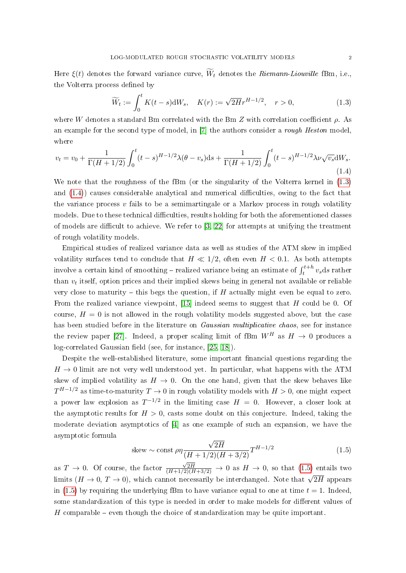Here  $\xi(t)$  denotes the forward variance curve,  $\widetilde{W}_t$  denotes the *Riemann-Liouville* fBm, i.e., the Volterra process defined by

<span id="page-1-0"></span>
$$
\widetilde{W}_t := \int_0^t K(t - s) \, \mathrm{d}W_s, \quad K(r) := \sqrt{2H} r^{H - 1/2}, \quad r > 0,\tag{1.3}
$$

where W denotes a standard Bm correlated with the Bm Z with correlation coefficient  $\rho$ . As an example for the second type of model, in [\[7\]](#page-22-3) the authors consider a rough Heston model, where

<span id="page-1-1"></span>
$$
v_t = v_0 + \frac{1}{\Gamma(H+1/2)} \int_0^t (t-s)^{H-1/2} \lambda(\theta - v_s) \, ds + \frac{1}{\Gamma(H+1/2)} \int_0^t (t-s)^{H-1/2} \lambda \nu \sqrt{v_s} \, dW_s. \tag{1.4}
$$

We note that the roughness of the fBm (or the singularity of the Volterra kernel in  $(1.3)$ ) and  $(1.4)$ ) causes considerable analytical and numerical difficulties, owing to the fact that the variance process  $v$  fails to be a semimartingale or a Markov process in rough volatility models. Due to these technical difficulties, results holding for both the aforementioned classes of models are difficult to achieve. We refer to  $[3, 22]$  $[3, 22]$  for attempts at unifying the treatment of rough volatility models.

Empirical studies of realized variance data as well as studies of the ATM skew in implied volatility surfaces tend to conclude that  $H \ll 1/2$ , often even  $H < 0.1$ . As both attempts involve a certain kind of smoothing – realized variance being an estimate of  $\int_{t}^{t+h} v_{s} ds$  rather than  $v_t$  itself, option prices and their implied skews being in general not available or reliable very close to maturity – this begs the question, if  $H$  actually might even be equal to zero. From the realized variance viewpoint, [\[15\]](#page-23-1) indeed seems to suggest that  $H$  could be 0. Of course,  $H = 0$  is not allowed in the rough volatility models suggested above, but the case has been studied before in the literature on *Gaussian multiplicative chaos*, see for instance the review paper [\[27\]](#page-23-4). Indeed, a proper scaling limit of fBm  $W^H$  as  $H \rightarrow 0$  produces a  $log-correlated$  Gaussian field (see, for instance, [\[25,](#page-23-5) [18\]](#page-23-6)).

Despite the well-established literature, some important financial questions regarding the  $H \rightarrow 0$  limit are not very well understood yet. In particular, what happens with the ATM skew of implied volatility as  $H \to 0$ . On the one hand, given that the skew behaves like  $T^{H-1/2}$  as time-to-maturity  $T\rightarrow 0$  in rough volatility models with  $H>0,$  one might expect a power law explosion as  $T^{-1/2}$  in the limiting case  $H = 0$ . However, a closer look at the asymptotic results for  $H > 0$ , casts some doubt on this conjecture. Indeed, taking the moderate deviation asymptotics of [\[4\]](#page-22-5) as one example of such an expansion, we have the asymptotic formula √

<span id="page-1-2"></span>skew ~ const 
$$
\rho \eta \frac{\sqrt{2H}}{(H+1/2)(H+3/2)} T^{H-1/2}
$$
 (1.5)

as  $T \to 0$ . Of course, the factor  $\frac{\sqrt{2H}}{(H+1/2)(H+3/2)} \rightarrow 0$  as  $H \rightarrow 0$ , so that [\(1.5\)](#page-1-2) entails two limits  $(H \to 0, T \to 0)$ , which cannot necessarily be interchanged. Note that  $\sqrt{2H}$  appears in [\(1.5\)](#page-1-2) by requiring the underlying fBm to have variance equal to one at time  $t = 1$ . Indeed, some standardization of this type is needed in order to make models for different values of  $H$  comparable – even though the choice of standardization may be quite important.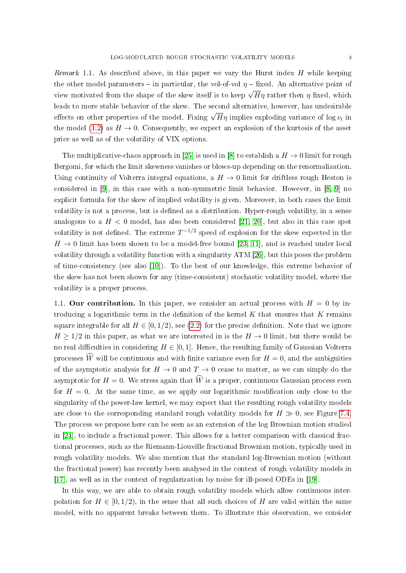*Remark* 1.1. As described above, in this paper we vary the Hurst index  $H$  while keeping the other model parameters – in particular, the vol-of-vol  $\eta$  – fixed. An alternative point of view motivated from the shape of the skew itself is to keep  $\sqrt{H}\eta$  rather then  $\eta$  fixed, which leads to more stable behavior of the skew. The second alternative, however, has undesirable effects on other properties of the model. Fixing  $\sqrt{H}\eta$  implies exploding variance of log  $v_t$  in the model [\(1.2\)](#page-0-0) as  $H \to 0$ . Consequently, we expect an explosion of the kurtosis of the asset price as well as of the volatility of VIX options.

The multiplicative-chaos approach in [\[25\]](#page-23-5) is used in [\[8\]](#page-22-6) to establish a  $H \to 0$  limit for rough Bergomi, for which the limit skewness vanishes or blows-up depending on the renormalization. Using continuity of Volterra integral equations, a  $H \to 0$  limit for driftless rough Heston is considered in [\[9\]](#page-22-7), in this case with a non-symmetric limit behavior. However, in [\[8,](#page-22-6) [9\]](#page-22-7) no explicit formula for the skew of implied volatility is given. Moreover, in both cases the limit volatility is not a process, but is defined as a distribution. Hyper-rough volatility, in a sense analogous to a  $H < 0$  model, has also been considered [\[21,](#page-23-7) [20\]](#page-23-8), but also in this case spot volatility is not defined. The extreme  $T^{-1/2}$  speed of explosion for the skew expected in the  $H \to 0$  limit has been shown to be a model-free bound [\[23,](#page-23-9) [11\]](#page-23-10), and is reached under local volatility through a volatility function with a singularity ATM [\[26\]](#page-23-11), but this poses the problem of time-consistency (see also [\[10\]](#page-23-12)). To the best of our knowledge, this extreme behavior of the skew has not been shown for any (time-consistent) stochastic volatility model, where the volatility is a proper process.

1.1. Our contribution. In this paper, we consider an actual process with  $H = 0$  by introducing a logarithmic term in the definition of the kernel  $K$  that ensures that  $K$  remains square integrable for all  $H \in [0, 1/2)$ , see [\(2.2\)](#page-5-0) for the precise definition. Note that we ignore  $H \geq 1/2$  in this paper, as what we are interested in is the  $H \rightarrow 0$  limit, but there would be no real difficulties in considering  $H \in [0, 1]$ . Hence, the resulting family of Gaussian Volterra processes  $\widehat{W}$  will be continuous and with finite variance even for  $H = 0$ , and the ambiguities of the asymptotic analysis for  $H \to 0$  and  $T \to 0$  cease to matter, as we can simply do the asymptotic for  $H = 0$ . We stress again that  $\widehat{W}$  is a proper, continuous Gaussian process even for  $H = 0$ . At the same time, as we apply our logarithmic modification only close to the singularity of the power-law kernel, we may expect that the resulting rough volatility models are close to the corresponding standard rough volatility models for  $H \gg 0$ , see Figure [7.4.](#page-22-8) The process we propose here can be seen as an extension of the log Brownian motion studied in [\[24\]](#page-23-13), to include a fractional power. This allows for a better comparison with classical fractional processes, such as the Riemann-Liouville fractional Brownian motion, typically used in rough volatility models. We also mention that the standard log-Brownian motion (without the fractional power) has recently been analysed in the context of rough volatility models in [\[17\]](#page-23-14), as well as in the context of regularization by noise for ill-posed ODEs in [\[19\]](#page-23-15).

In this way, we are able to obtain rough volatility models which allow continuous interpolation for  $H \in [0, 1/2)$ , in the sense that all such choices of H are valid within the same model, with no apparent breaks between them. To illustrate this observation, we consider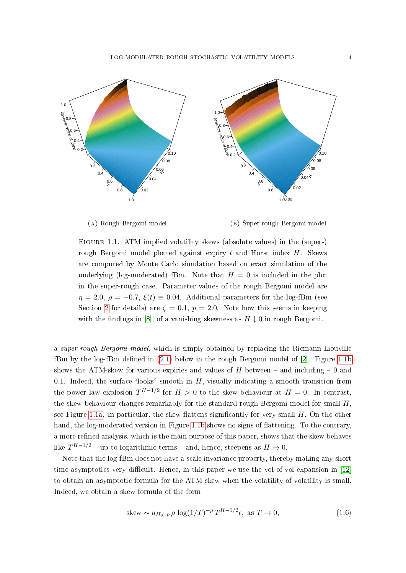LOG-MODULATED ROUGH STOCHASTIC VOLATILITY MODELS 4

<span id="page-3-0"></span>

(a) Rough Bergomi model

(b) Super-rough Bergomi model

Figure 1.1. ATM implied volatility skews (absolute values) in the (super-) rough Bergomi model plotted against expiry  $t$  and Hurst index  $H$ . Skews are computed by Monte Carlo simulation based on exact simulation of the underlying (log-moderated) fBm. Note that  $H = 0$  is included in the plot in the super-rough case. Parameter values of the rough Bergomi model are  $\eta = 2.0, \rho = -0.7, \xi(t) \equiv 0.04.$  Additional parameters for the log-fBm (see Section [2](#page-4-0) for details) are  $\zeta = 0.1$ ,  $p = 2.0$ . Note how this seems in keeping with the findings in [\[8\]](#page-22-6), of a vanishing skewness as  $H \downarrow 0$  in rough Bergomi.

a *super-rough Bergomi model*, which is simply obtained by replacing the Riemann-Liouville fBm by the log-fBm defined in  $(2.1)$  below in the rough Bergomi model of  $[2]$ . Figure [1.1b](#page-3-0) shows the ATM-skew for various expiries and values of H between  $-$  and including  $-0$  and 0.1. Indeed, the surface "looks" smooth in  $H$ , visually indicating a smooth transition from the power law explosion  $T^{H-1/2}$  for  $H > 0$  to the skew behaviour at  $H = 0$ . In contrast, the skew-behaviour changes remarkably for the standard rough Bergomi model for small  $H$ , see Figure [1.1a.](#page-3-0) In particular, the skew flattens significantly for very small  $H$ . On the other hand, the log-moderated version in Figure [1.1b](#page-3-0) shows no signs of flattening. To the contrary, a more refined analysis, which is the main purpose of this paper, shows that the skew behaves like  $T^{H-1/2}$  – up to logarithmic terms – and, hence, steepens as  $H \to 0$ .

Note that the log-fBm does not have a scale invariance property, thereby making any short time asymptotics very difficult. Hence, in this paper we use the vol-of-vol expansion in  $[12]$ to obtain an asymptotic formula for the ATM skew when the volatility-of-volatility is small. Indeed, we obtain a skew formula of the form

<span id="page-3-1"></span>
$$
\text{skew} \sim a_{H,\zeta,p} \,\rho \, \log(1/T)^{-p} \, T^{H-1/2} \epsilon, \text{ as } T \to 0,\tag{1.6}
$$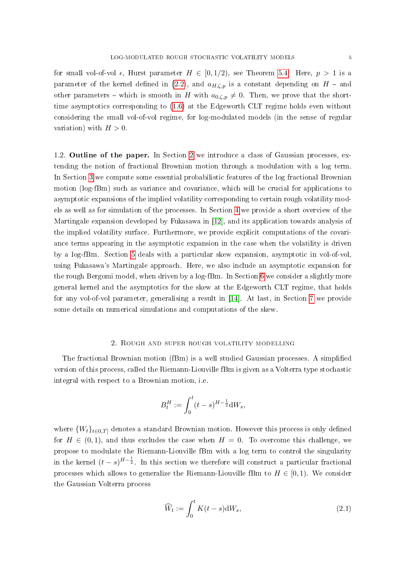for small vol-of-vol  $\epsilon$ , Hurst parameter  $H \in [0, 1/2)$ , see Theorem [5.4.](#page-13-0) Here,  $p > 1$  is a parameter of the kernel defined in [\(2.2\)](#page-5-0), and  $a_{H,\zeta,p}$  is a constant depending on  $H$  - and other parameters – which is smooth in H with  $a_{0,\zeta,p} \neq 0$ . Then, we prove that the shorttime asymptotics corresponding to [\(1.6\)](#page-3-1) at the Edgeworth CLT regime holds even without considering the small vol-of-vol regime, for log-modulated models (in the sense of regular variation) with  $H > 0$ .

1.2. Outline of the paper. In Section [2](#page-4-0) we introduce a class of Gaussian processes, extending the notion of fractional Brownian motion through a modulation with a log term. In Section [3](#page-6-0) we compute some essential probabilistic features of the log fractional Brownian motion (log-fBm) such as variance and covariance, which will be crucial for applications to asymptotic expansions of the implied volatility corresponding to certain rough volatility models as well as for simulation of the processes. In Section [4](#page-8-0) we provide a short overview of the Martingale expansion developed by Fukasawa in [\[12\]](#page-23-2), and its application towards analysis of the implied volatility surface. Furthermore, we provide explicit computations of the covariance terms appearing in the asymptotic expansion in the case when the volatility is driven by a log-fBm. Section [5](#page-11-0) deals with a particular skew expansion, asymptotic in vol-of-vol, using Fukasawa's Martingale approach. Here, we also include an asymptotic expansion for the rough Bergomi model, when driven by a log-fBm. In Section [6](#page-16-0) we consider a slightly more general kernel and the asymptotics for the skew at the Edgeworth CLT regime, that holds for any vol-of-vol parameter, generalising a result in [\[14\]](#page-23-16). At last, in Section [7](#page-19-0) we provide some details on numerical simulations and computations of the skew.

#### 2. Rough and super rough volatility modelling

<span id="page-4-0"></span>The fractional Brownian motion (fBm) is a well studied Gaussian processes. A simplied version of this process, called the Riemann-Liouville fBm is given as a Volterra type stochastic integral with respect to a Brownian motion, i.e.

$$
B_t^H := \int_0^t (t - s)^{H - \frac{1}{2}} \mathrm{d}W_s,
$$

where  $\{W_t\}_{t\in{0,T}}$  denotes a standard Brownian motion. However this process is only defined for  $H \in (0, 1)$ , and thus excludes the case when  $H = 0$ . To overcome this challenge, we propose to modulate the Riemann-Liouville fBm with a log term to control the singularity in the kernel  $(t-s)^{H-\frac{1}{2}}$ . In this section we therefore will construct a particular fractional processes which allows to generalize the Riemann-Liouville fBm to  $H \in [0, 1)$ . We consider the Gaussian Volterra process

<span id="page-4-1"></span>
$$
\widehat{W}_t := \int_0^t K(t-s) \mathrm{d}W_s,\tag{2.1}
$$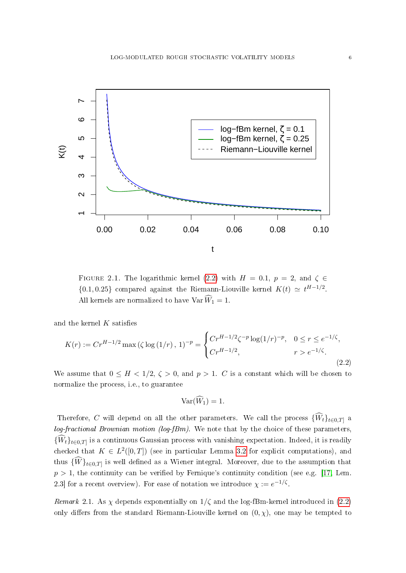

FIGURE 2.1. The logarithmic kernel [\(2.2\)](#page-5-0) with  $H = 0.1$ ,  $p = 2$ , and  $\zeta \in$  $\{0.1, 0.25\}$  compared against the Riemann-Liouville kernel  $K(t) \simeq t^{H-1/2}$ . All kernels are normalized to have  $\text{Var } \widehat{W}_1 = 1$ .

and the kernel  $K$  satisfies

<span id="page-5-0"></span>
$$
K(r) := Cr^{H-1/2} \max(\zeta \log(1/r), 1)^{-p} = \begin{cases} Cr^{H-1/2}\zeta^{-p} \log(1/r)^{-p}, & 0 \le r \le e^{-1/\zeta}, \\ Cr^{H-1/2}, & r > e^{-1/\zeta}. \end{cases}
$$
(2.2)

We assume that  $0 \leq H < 1/2$ ,  $\zeta > 0$ , and  $p > 1$ . C is a constant which will be chosen to normalize the process, i.e., to guarantee

$$
\text{Var}(\widehat{W}_1)=1.
$$

Therefore, C will depend on all the other parameters. We call the process  $\{\widehat{W}_t\}_{t\in{0,T]}$  a  $log-fractional Brownian motion (log-fBm)$ . We note that by the choice of these parameters,  ${W_t}_{t\in{0,T}}$  is a continuous Gaussian process with vanishing expectation. Indeed, it is readily checked that  $K \in L^2([0,T])$  (see in particular Lemma [3.2](#page-6-1) for explicit computations), and thus  $\{W\}_{t\in{0,T}}$  is well defined as a Wiener integral. Moreover, due to the assumption that  $p > 1$ , the continuity can be verified by Fernique's continuity condition (see e.g. [\[17,](#page-23-14) Lem. 2.3 for a recent overview). For ease of notation we introduce  $\chi := e^{-1/\zeta}$ .

Remark 2.1. As  $\chi$  depends exponentially on  $1/\zeta$  and the log-fBm-kernel introduced in [\(2.2\)](#page-5-0) only differs from the standard Riemann-Liouville kernel on  $(0, \chi)$ , one may be tempted to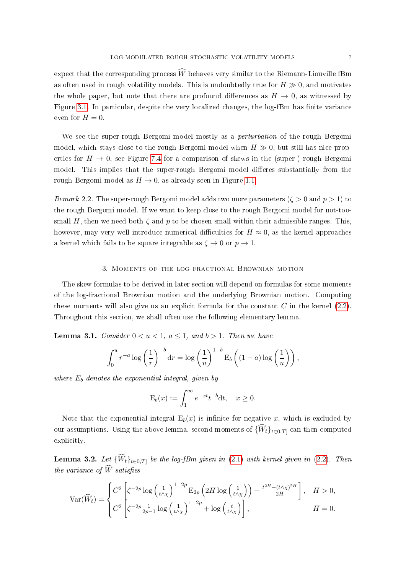expect that the corresponding process  $\widehat{W}$  behaves very similar to the Riemann-Liouville fBm as often used in rough volatility models. This is undoubtedly true for  $H \gg 0$ , and motivates the whole paper, but note that there are profound differences as  $H \to 0$ , as witnessed by Figure [3.1.](#page-8-1) In particular, despite the very localized changes, the log-fBm has finite variance even for  $H=0$ .

We see the super-rough Bergomi model mostly as a *perturbation* of the rough Bergomi model, which stays close to the rough Bergomi model when  $H \gg 0$ , but still has nice properties for  $H \to 0$ , see Figure [7.4](#page-22-8) for a comparison of skews in the (super-) rough Bergomi model. This implies that the super-rough Bergomi model differes substantially from the rough Bergomi model as  $H \to 0$ , as already seen in Figure [1.1.](#page-3-0)

<span id="page-6-3"></span>*Remark* 2.2. The super-rough Bergomi model adds two more parameters ( $\zeta > 0$  and  $p > 1$ ) to the rough Bergomi model. If we want to keep close to the rough Bergomi model for not-toosmall H, then we need both  $\zeta$  and p to be chosen small within their admissible ranges. This, however, may very well introduce numerical difficulties for  $H \approx 0$ , as the kernel approaches a kernel which fails to be square integrable as  $\zeta \to 0$  or  $p \to 1$ .

# 3. Moments of the log-fractional Brownian motion

<span id="page-6-0"></span>The skew formulas to be derived in later section will depend on formulas for some moments of the log-fractional Brownian motion and the underlying Brownian motion. Computing these moments will also give us an explicit formula for the constant  $C$  in the kernel  $(2.2)$ . Throughout this section, we shall often use the following elementary lemma.

<span id="page-6-2"></span>**Lemma 3.1.** Consider  $0 < u < 1$ ,  $a \le 1$ , and  $b > 1$ . Then we have

$$
\int_0^u r^{-a} \log\left(\frac{1}{r}\right)^{-b} dr = \log\left(\frac{1}{u}\right)^{1-b} \mathcal{E}_b\left((1-a)\log\left(\frac{1}{u}\right)\right),\,
$$

where  $E_b$  denotes the exponential integral, given by

$$
E_b(x) := \int_1^{\infty} e^{-xt} t^{-b} dt, \quad x \ge 0.
$$

Note that the exponential integral  $E_b(x)$  is infinite for negative x, which is excluded by our assumptions. Using the above lemma, second moments of  $\{\widehat{W}_t\}_{t\in{0,T}}$  can then computed explicitly.

<span id="page-6-1"></span>**Lemma 3.2.** Let  ${\widehat{W}_t}_{t \in 0,T}$  be the log-fBm given in [\(2.1\)](#page-4-1) with kernel given in [\(2.2\)](#page-5-0). Then the variance of  $\widehat{W}$  satisfies

$$
\text{Var}(\widehat{W}_t) = \begin{cases} C^2 \left[ \zeta^{-2p} \log \left( \frac{1}{t \wedge \chi} \right)^{1-2p} \mathcal{E}_{2p} \left( 2H \log \left( \frac{1}{t \wedge \chi} \right) \right) + \frac{t^{2H} - (t \wedge \chi)^{2H}}{2H} \right], & H > 0, \\ C^2 \left[ \zeta^{-2p} \frac{1}{2p-1} \log \left( \frac{1}{t \wedge \chi} \right)^{1-2p} + \log \left( \frac{t}{t \wedge \chi} \right) \right], & H = 0. \end{cases}
$$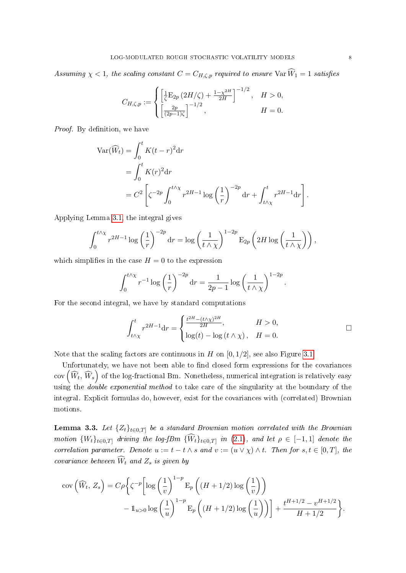Assuming  $\chi < 1$ , the scaling constant  $C = C_{H,\zeta,p}$  required to ensure  $\text{Var } \widehat{W}_1 = 1$  satisfies

$$
C_{H,\zeta,p}:=\begin{cases} \left[\frac{1}{\zeta}\mathcal{E}_{2p}\left(2H/\zeta\right)+\frac{1-\chi^{2H}}{2H}\right]^{-1/2}, & H>0,\\ \left[\frac{2p}{(2p-1)\zeta}\right]^{-1/2}, & H=0. \end{cases}
$$

Proof. By definition, we have

$$
\begin{aligned} \text{Var}(\widehat{W}_t) &= \int_0^t K(t-r)^2 \, \text{d}r \\ &= \int_0^t K(r)^2 \, \text{d}r \\ &= C^2 \left[ \zeta^{-2p} \int_0^{t \wedge \chi} r^{2H-1} \log \left( \frac{1}{r} \right)^{-2p} \, \text{d}r + \int_{t \wedge \chi}^t r^{2H-1} \, \text{d}r \right] \end{aligned}
$$

Applying Lemma [3.1,](#page-6-2) the integral gives

$$
\int_0^{t \wedge \chi} r^{2H-1} \log \left(\frac{1}{r}\right)^{-2p} dr = \log \left(\frac{1}{t \wedge \chi}\right)^{1-2p} \mathcal{E}_{2p} \left(2H \log \left(\frac{1}{t \wedge \chi}\right)\right),
$$

which simplifies in the case  $H = 0$  to the expression

$$
\int_0^{t \wedge \chi} r^{-1} \log \left( \frac{1}{r} \right)^{-2p} dr = \frac{1}{2p - 1} \log \left( \frac{1}{t \wedge \chi} \right)^{1 - 2p}.
$$

For the second integral, we have by standard computations

$$
\int_{t\wedge\chi}^{t} r^{2H-1} dr = \begin{cases} \frac{t^{2H} - (t\wedge\chi)^{2H}}{2H}, & H > 0, \\ \log(t) - \log(t\wedge\chi), & H = 0. \end{cases}
$$

Note that the scaling factors are continuous in  $H$  on  $[0, 1/2]$ , see also Figure [3.1.](#page-8-1)

Unfortunately, we have not been able to find closed form expressions for the covariances  ${\rm cov}\left(\widehat{W}_t, \,\widehat{W}_s\right)$  of the log-fractional Bm. Nonetheless, numerical integration is relatively easy using the *double exponential method* to take care of the singularity at the boundary of the integral. Explicit formulas do, however, exist for the covariances with (correlated) Brownian motions.

<span id="page-7-0"></span>**Lemma 3.3.** Let  ${Z_t}_{t \in [0,T]}$  be a standard Brownian motion correlated with the Brownian motion  $\{W_t\}_{t\in{0,T}}$  driving the log-fBm  $\{W_t\}_{t\in{0,T}}$  in  $(2.1)$ , and let  $\rho \in [-1,1]$  denote the correlation parameter. Denote  $u := t - t \wedge s$  and  $v := (u \vee \chi) \wedge t$ . Then for  $s, t \in [0, T]$ , the covariance between  $\widehat{W}_t$  and  $Z_s$  is given by

$$
\text{cov}\left(\widehat{W}_t, Z_s\right) = C\rho \left\{ \zeta^{-p} \left[ \log \left(\frac{1}{v}\right)^{1-p} \mathcal{E}_p \left( (H+1/2) \log \left(\frac{1}{v}\right) \right) - \mathbb{1}_{u>0} \log \left(\frac{1}{u}\right)^{1-p} \mathcal{E}_p \left( (H+1/2) \log \left(\frac{1}{u}\right) \right) \right] + \frac{t^{H+1/2} - v^{H+1/2}}{H+1/2} \right\}.
$$

.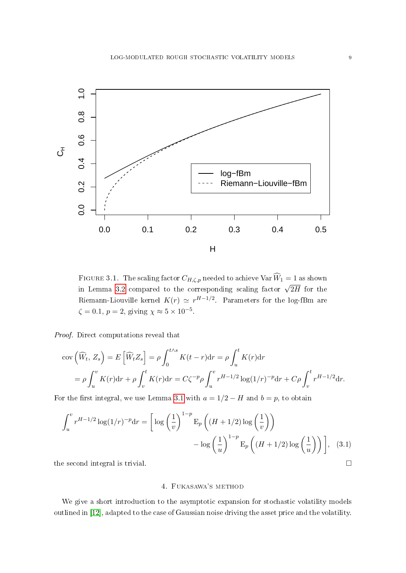<span id="page-8-1"></span>

FIGURE 3.1. The scaling factor  $C_{H,\zeta,p}$  needed to achieve  $\text{Var } \widehat{W}_1 = 1$  as shown in Lemma [3.2](#page-6-1) compared to the corresponding scaling factor  $\sqrt{2H}$  for the Riemann-Liouville kernel  $K(r)\,\simeq\,r^{H-1/2}.$  Parameters for the log-fBm are  $\zeta = 0.1, p = 2$ , giving  $\chi \approx 5 \times 10^{-5}$ .

Proof. Direct computations reveal that

$$
\text{cov}\left(\widehat{W}_t, Z_s\right) = E\left[\widehat{W}_t Z_s\right] = \rho \int_0^{t \wedge s} K(t - r) \, \text{d}r = \rho \int_u^t K(r) \, \text{d}r
$$
\n
$$
= \rho \int_u^v K(r) \, \text{d}r + \rho \int_v^t K(r) \, \text{d}r = C\zeta^{-p} \rho \int_u^v r^{H-1/2} \log(1/r)^{-p} \, \text{d}r + C\rho \int_v^t r^{H-1/2} \, \text{d}r.
$$

For the first integral, we use Lemma [3.1](#page-6-2) with  $a = 1/2 - H$  and  $b = p$ , to obtain

$$
\int_u^v r^{H-1/2} \log(1/r)^{-p} dr = \left[ \log \left( \frac{1}{v} \right)^{1-p} E_p \left( (H+1/2) \log \left( \frac{1}{v} \right) \right) - \log \left( \frac{1}{u} \right)^{1-p} E_p \left( (H+1/2) \log \left( \frac{1}{u} \right) \right) \right], \quad (3.1)
$$

<span id="page-8-0"></span>the second integral is trivial.

# 4. Fukasawa's method

We give a short introduction to the asymptotic expansion for stochastic volatility models outlined in [\[12\]](#page-23-2), adapted to the case of Gaussian noise driving the asset price and the volatility.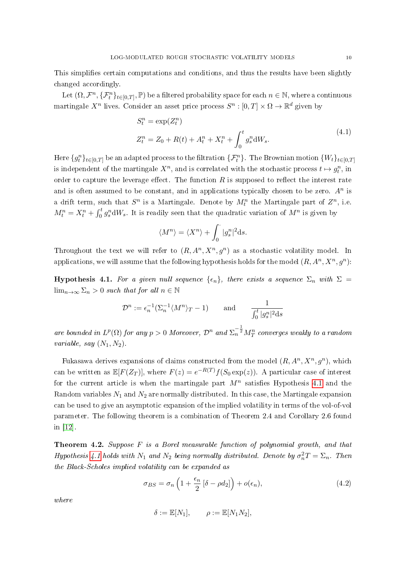This simplifies certain computations and conditions, and thus the results have been slightly changed accordingly.

Let  $(\Omega, \mathcal{F}^n, \{\mathcal{F}^n_t\}_{t\in[0,T]}, \mathbb{P})$  be a filtered probability space for each  $n \in \mathbb{N}$ , where a continuous martingale  $X^n$  lives. Consider an asset price process  $S^n: [0,T] \times \Omega \to \mathbb{R}^d$  given by

<span id="page-9-1"></span>
$$
S_t^n = \exp(Z_t^n)
$$
  
\n
$$
Z_t^n = Z_0 + R(t) + A_t^n + X_t^n + \int_0^t g_s^n dW_s.
$$
\n(4.1)

Here  $\{g_t^n\}_{t\in[0,T]}$  be an adapted process to the filtration  $\{\mathcal{F}_t^n\}$  . The Brownian motion  $\{W_t\}_{t\in[0,T]}$ is independent of the martingale  $X^n$ , and is correlated with the stochastic process  $t \mapsto g_t^n$ , in order to capture the leverage effect. The function  $R$  is supposed to reflect the interest rate and is often assumed to be constant, and in applications typically chosen to be zero.  $A<sup>n</sup>$  is a drift term, such that  $S^n$  is a Martingale. Denote by  $M_t^n$  the Martingale part of  $Z^n$ , i.e.  $M_t^n = X_t^n + \int_0^t g_s^n dW_s$ . It is readily seen that the quadratic variation of  $M^n$  is given by

$$
\langle M^n \rangle = \langle X^n \rangle + \int_0^{\cdot} |g_s^n|^2 \mathrm{d} s.
$$

Throughout the text we will refer to  $(R, A^n, X^n, g^n)$  as a stochastic volatility model. In applications, we will assume that the following hypothesis holds for the model  $(R, A^n, X^n, g^n)$ :

<span id="page-9-0"></span>**Hypothesis 4.1.** For a given null sequence  $\{\epsilon_n\}$ , there exists a sequence  $\Sigma_n$  with  $\Sigma$  =  $\lim_{n\to\infty}\sum_n>0$  such that for all  $n\in\mathbb{N}$ 

$$
\mathcal{D}^n := \epsilon_n^{-1} (\Sigma_n^{-1} \langle M^n \rangle_T - 1) \quad \text{and} \quad \frac{1}{\int_0^t |g_s^n|^2 ds}
$$

are bounded in  $L^p(\Omega)$  for any  $p>0$  Moreover,  $\mathcal{D}^n$  and  $\Sigma_n^{-\frac{1}{2}}M_T^n$  converges weakly to a random variable, say  $(N_1, N_2)$ .

Fukasawa derives expansions of claims constructed from the model  $(R, A^n, X^n, g^n)$ , which can be written as  $\mathbb{E}[F(Z_T)],$  where  $F(z) = e^{-R(T)}f(S_0 \exp(z))$ . A particular case of interest for the current article is when the martingale part  $M^n$  satisfies Hypothesis [4.1](#page-9-0) and the Random variables  $N_1$  and  $N_2$  are normally distributed. In this case, the Martingale expansion can be used to give an asymptotic expansion of the implied volatility in terms of the vol-of-vol parameter. The following theorem is a combination of Theorem 2.4 and Corollary 2.6 found in [\[12\]](#page-23-2).

<span id="page-9-2"></span>Theorem 4.2. Suppose F is a Borel measurable function of polynomial growth, and that Hypothesis [4.1](#page-9-0) holds with  $N_1$  and  $N_2$  being normally distributed. Denote by  $\sigma_n^2 T = \Sigma_n$ . Then the Black-Scholes implied volatility can be expanded as

<span id="page-9-3"></span>
$$
\sigma_{BS} = \sigma_n \left( 1 + \frac{\epsilon_n}{2} \left[ \delta - \rho d_2 \right] \right) + o(\epsilon_n), \tag{4.2}
$$

where

$$
\delta := \mathbb{E}[N_1], \qquad \rho := \mathbb{E}[N_1 N_2],
$$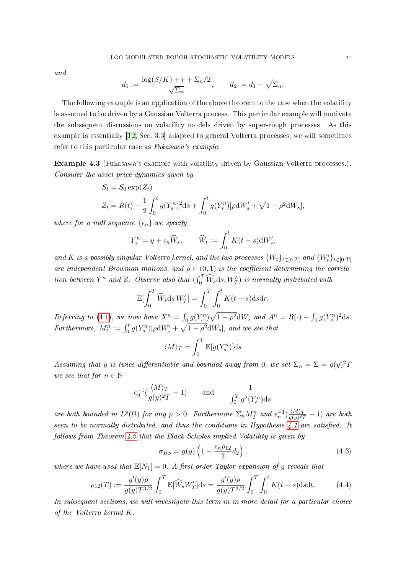and

$$
d_1 := \frac{\log(S/K) + r + \sum_n/2}{\sqrt{\sum_n}}, \qquad d_2 := d_1 - \sqrt{\sum_n}.
$$

The following example is an application of the above theorem to the case when the volatility is assumed to be driven by a Gaussian Volterra process. This particular example will motivate the subsequent discussions on volatility models driven by super-rough processes. As this example is essentially [\[12,](#page-23-2) Sec. 3.3] adapted to general Volterra processes, we will sometimes refer to this particular case as Fukasawa's example.

<span id="page-10-0"></span>Example 4.3 (Fukasawa's example with volatility driven by Gaussian Volterra processes.). Consider the asset price dynamics given by

$$
S_t = S_0 \exp(Z_t)
$$
  
\n
$$
Z_t = R(t) - \frac{1}{2} \int_0^t g(Y_s^n)^2 ds + \int_0^t g(Y_s^n) [\rho dW'_s + \sqrt{1 - \rho^2} dW_s],
$$

where for a null sequence  $\{\epsilon_n\}$  we specify

$$
Y_s^n = y + \epsilon_n \widehat{W}_s, \qquad \widehat{W}_t := \int_0^t K(t-s) \mathrm{d}W'_s,
$$

and K is a possibly singular Volterra kernel, and the two processes  $\{W_t\}_{t\in[0,T]}$  and  $\{W_t'\}_{t\in[0,T]}$ are independent Brownian motions, and  $\rho \in (0,1)$  is the coefficient determining the correlation between  $Y^n$  and Z. Observe also that  $(\int_0^T \widehat{W}_s ds, W'_T)$  is normally distributed with

$$
\mathbb{E}[\int_0^T \widehat{W}_s \, \mathrm{d} s \, W'_T] = \int_0^T \int_0^t K(t-s) \, \mathrm{d} s \, \mathrm{d} r.
$$

Referring to [\(4.1\)](#page-9-1), we now have  $X^n = \int_0^1 g(Y_s^n) \sqrt{1 - \rho^2} dW_s$  and  $A^n = R(\cdot) - \int_0^1 g(Y_s^n)^2 ds$ . Furthermore,  $M_t^n := \int_0^t g(Y_s^n) [\rho dW'_s + \sqrt{1-\rho^2} dW_s]$ , and we see that

$$
\langle M \rangle_T = \int_0^T \mathbb{E}[g(Y_s^n)] \mathrm{d} s
$$

Assuming that g is twice differentiable and bounded away from 0, we set  $\Sigma_n = \Sigma = g(y)^2 T$ we see that for  $n \in \mathbb{N}$ 

$$
\epsilon_n^{-1}(\frac{\langle M \rangle_T}{g(y)^2T} - 1) \quad \text{and} \quad \frac{1}{\int_0^T g^2(Y_s^n) \mathrm{d} s}
$$

are both bounded in  $L^p(\Omega)$  for any  $p > 0$ . Furthermore  $\Sigma_n M_T^n$  and  $\epsilon_n^{-1}(\frac{\langle M \rangle_T}{q(y)^{2s}})$  $\frac{\sqrt{M/T}}{g(y)^2T} - 1$  are both seen to be normally distributed, and thus the conditions in Hypothesis  $4.1$  are satisfied. It follows from Theorem [4.2](#page-9-2) that the Black-Scholes implied Volatility is given by

$$
\sigma_{BS} = g(y) \left( 1 - \frac{\epsilon_n \rho_{12}}{2} d_2 \right),\tag{4.3}
$$

where we have used that  $\mathbb{E}[N_1] = 0$ . A first order Taylor expansion of g reveals that

<span id="page-10-1"></span>
$$
\rho_{12}(T) := \frac{g'(y)\rho}{g(y)T^{3/2}} \int_0^T \mathbb{E}[\widehat{W}_s W'_T] \, \mathrm{d}s = \frac{g'(y)\rho}{g(y)T^{3/2}} \int_0^T \int_0^t K(t-s) \, \mathrm{d}s \, \mathrm{d}t. \tag{4.4}
$$

In subsequent sections, we will investigate this term in in more detail for a particular choice of the Volterra kernel K.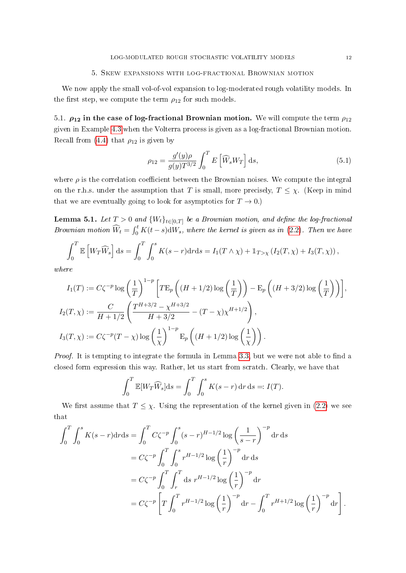#### 5. Skew expansions with log-fractional Brownian motion

<span id="page-11-0"></span>We now apply the small vol-of-vol expansion to log-moderated rough volatility models. In the first step, we compute the term  $\rho_{12}$  for such models.

5.1.  $\rho_{12}$  in the case of log-fractional Brownian motion. We will compute the term  $\rho_{12}$ given in Example [4.3](#page-10-0) when the Volterra process is given as a log-fractional Brownian motion. Recall from [\(4.4\)](#page-10-1) that  $\rho_{12}$  is given by

<span id="page-11-1"></span>
$$
\rho_{12} = \frac{g'(y)\rho}{g(y)T^{3/2}} \int_0^T E\left[\widehat{W}_s W_T\right] \mathrm{d}s,\tag{5.1}
$$

where  $\rho$  is the correlation coefficient between the Brownian noises. We compute the integral on the r.h.s. under the assumption that T is small, more precisely,  $T \leq \chi$ . (Keep in mind that we are eventually going to look for asymptotics for  $T \to 0$ .)

<span id="page-11-2"></span>**Lemma 5.1.** Let  $T > 0$  and  ${W_t}_{t \in [0,T]}$  be a Brownian motion, and define the log-fractional Brownian motion  $\widehat{W}_t = \int_0^t K(t-s) dW_s$ , where the kernel is given as in [\(2.2\)](#page-5-0). Then we have

$$
\int_0^T \mathbb{E}\left[W_T\widehat{W}_s\right]ds = \int_0^T \int_0^s K(s-r)drds = I_1(T \wedge \chi) + \mathbb{1}_{T>\chi} \left(I_2(T,\chi) + I_3(T,\chi)\right),
$$

where

$$
I_1(T) := C\zeta^{-p} \log \left(\frac{1}{T}\right)^{1-p} \left[ T \mathbb{E}_p \left( (H + 1/2) \log \left(\frac{1}{T}\right) \right) - \mathbb{E}_p \left( (H + 3/2) \log \left(\frac{1}{T}\right) \right) \right],
$$
  
\n
$$
I_2(T, \chi) := \frac{C}{H + 1/2} \left( \frac{T^{H + 3/2} - \chi^{H + 3/2}}{H + 3/2} - (T - \chi) \chi^{H + 1/2} \right),
$$
  
\n
$$
I_3(T, \chi) := C\zeta^{-p} (T - \chi) \log \left(\frac{1}{\chi}\right)^{1-p} \mathbb{E}_p \left( (H + 1/2) \log \left(\frac{1}{\chi}\right) \right).
$$

*Proof.* It is tempting to integrate the formula in Lemma  $3.3$ , but we were not able to find a closed form expression this way. Rather, let us start from scratch. Clearly, we have that

$$
\int_0^T \mathbb{E}[W_T \widehat{W}_s] \, \mathrm{d} s = \int_0^T \int_0^s K(s-r) \, \mathrm{d} r \, \mathrm{d} s =: I(T).
$$

We first assume that  $T \leq \chi$ . Using the representation of the kernel given in [\(2.2\)](#page-5-0) we see that

$$
\int_0^T \int_0^s K(s-r) dr ds = \int_0^T C \zeta^{-p} \int_0^s (s-r)^{H-1/2} \log \left(\frac{1}{s-r}\right)^{-p} dr ds
$$
  
=  $C \zeta^{-p} \int_0^T \int_0^s r^{H-1/2} \log \left(\frac{1}{r}\right)^{-p} dr ds$   
=  $C \zeta^{-p} \int_0^T \int_r^T ds r^{H-1/2} \log \left(\frac{1}{r}\right)^{-p} dr$   
=  $C \zeta^{-p} \left[ T \int_0^T r^{H-1/2} \log \left(\frac{1}{r}\right)^{-p} dr - \int_0^T r^{H+1/2} \log \left(\frac{1}{r}\right)^{-p} dr \right].$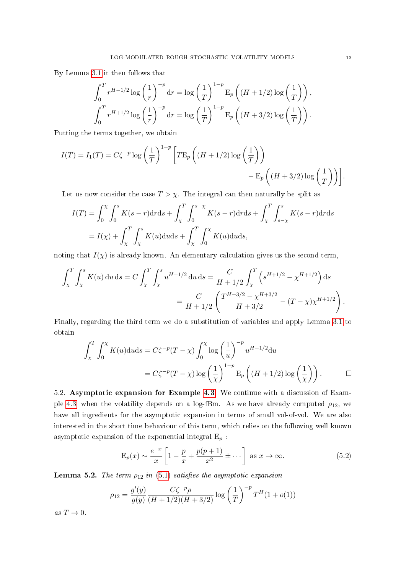By Lemma [3.1](#page-6-2) it then follows that

$$
\int_0^T r^{H-1/2} \log\left(\frac{1}{r}\right)^{-p} dr = \log\left(\frac{1}{T}\right)^{1-p} \mathcal{E}_p\left((H+1/2)\log\left(\frac{1}{T}\right)\right),
$$
  

$$
\int_0^T r^{H+1/2} \log\left(\frac{1}{r}\right)^{-p} dr = \log\left(\frac{1}{T}\right)^{1-p} \mathcal{E}_p\left((H+3/2)\log\left(\frac{1}{T}\right)\right).
$$

Putting the terms together, we obtain

$$
I(T) = I_1(T) = C\zeta^{-p} \log \left(\frac{1}{T}\right)^{1-p} \left[ T \mathbb{E}_p \left( (H + 1/2) \log \left(\frac{1}{T}\right) \right) - \mathbb{E}_p \left( (H + 3/2) \log \left(\frac{1}{T}\right) \right) \right].
$$

Let us now consider the case  $T > \chi$ . The integral can then naturally be split as

$$
I(T) = \int_0^{\chi} \int_0^s K(s-r) dr ds + \int_{\chi}^T \int_0^{s-\chi} K(s-r) dr ds + \int_{\chi}^T \int_{s-\chi}^s K(s-r) dr ds
$$
  
=  $I(\chi) + \int_{\chi}^T \int_{\chi}^s K(u) du ds + \int_{\chi}^T \int_0^{\chi} K(u) du ds,$ 

noting that  $I(\chi)$  is already known. An elementary calculation gives us the second term,

$$
\int_{\chi}^{T} \int_{\chi}^{s} K(u) \, \mathrm{d}u \, \mathrm{d}s = C \int_{\chi}^{T} \int_{\chi}^{s} u^{H-1/2} \, \mathrm{d}u \, \mathrm{d}s = \frac{C}{H+1/2} \int_{\chi}^{T} \left( s^{H+1/2} - \chi^{H+1/2} \right) \mathrm{d}s
$$

$$
= \frac{C}{H+1/2} \left( \frac{T^{H+3/2} - \chi^{H+3/2}}{H+3/2} - (T - \chi) \chi^{H+1/2} \right).
$$

Finally, regarding the third term we do a substitution of variables and apply Lemma [3.1](#page-6-2) to obtain

$$
\int_{\chi}^{T} \int_{0}^{\chi} K(u) \, \mathrm{d}u \, \mathrm{d}s = C \zeta^{-p} (T - \chi) \int_{0}^{\chi} \log \left(\frac{1}{u}\right)^{-p} u^{H-1/2} \, \mathrm{d}u
$$
\n
$$
= C \zeta^{-p} (T - \chi) \log \left(\frac{1}{\chi}\right)^{1-p} \mathrm{E}_{p} \left( (H + 1/2) \log \left(\frac{1}{\chi}\right) \right). \qquad \Box
$$

5.2. Asymptotic expansion for Example [4.3.](#page-10-0) We continue with a discussion of Exam-ple [4.3,](#page-10-0) when the volatility depends on a log-fBm. As we have already computed  $\rho_{12}$ , we have all ingredients for the asymptotic expansion in terms of small vol-of-vol. We are also interested in the short time behaviour of this term, which relies on the following well known asymptotic expansion of the exponential integral  $E_p$ :

<span id="page-12-0"></span>
$$
E_p(x) \sim \frac{e^{-x}}{x} \left[ 1 - \frac{p}{x} + \frac{p(p+1)}{x^2} \pm \cdots \right] \text{ as } x \to \infty.
$$
 (5.2)

<span id="page-12-1"></span>**Lemma 5.2.** The term  $\rho_{12}$  in [\(5.1\)](#page-11-1) satisfies the asymptotic expansion

$$
\rho_{12} = \frac{g'(y)}{g(y)} \frac{C\zeta^{-p} \rho}{(H + 1/2)(H + 3/2)} \log\left(\frac{1}{T}\right)^{-p} T^H (1 + o(1))
$$

as  $T \to 0$ .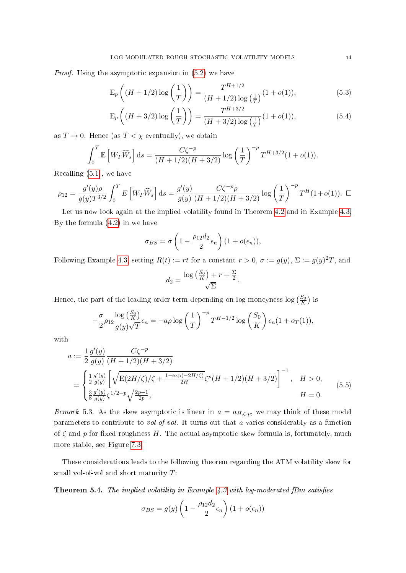Proof. Using the asymptotic expansion in [\(5.2\)](#page-12-0) we have

<span id="page-13-2"></span>
$$
E_p\left((H+1/2)\log\left(\frac{1}{T}\right)\right) = \frac{T^{H+1/2}}{(H+1/2)\log\left(\frac{1}{T}\right)}(1+o(1)),\tag{5.3}
$$

$$
E_p\left((H+3/2)\log\left(\frac{1}{T}\right)\right) = \frac{T^{H+3/2}}{(H+3/2)\log\left(\frac{1}{T}\right)}(1+o(1)),\tag{5.4}
$$

as  $T \to 0$ . Hence (as  $T < \chi$  eventually), we obtain

$$
\int_0^T \mathbb{E}\left[W_T\widehat{W}_s\right]ds = \frac{C\zeta^{-p}}{(H+1/2)(H+3/2)}\log\left(\frac{1}{T}\right)^{-p}T^{H+3/2}(1+o(1)).
$$

Recalling [\(5.1\)](#page-11-1), we have

$$
\rho_{12} = \frac{g'(y)\rho}{g(y)T^{3/2}} \int_0^T E\left[W_T\widehat{W}_s\right] ds = \frac{g'(y)}{g(y)} \frac{C\zeta^{-p}\rho}{(H+1/2)(H+3/2)} \log\left(\frac{1}{T}\right)^{-p} T^H(1+o(1)). \ \ \Box
$$

Let us now look again at the implied volatility found in Theorem [4.2](#page-9-2) and in Example [4.3.](#page-10-0) By the formula [\(4.2\)](#page-9-3) in we have

$$
\sigma_{BS} = \sigma \left( 1 - \frac{\rho_{12} d_2}{2} \epsilon_n \right) (1 + o(\epsilon_n)),
$$

Following Example [4.3,](#page-10-0) setting  $R(t) := rt$  for a constant  $r > 0$ ,  $\sigma := g(y)$ ,  $\Sigma := g(y)^2T$ , and

<span id="page-13-1"></span>
$$
d_2 = \frac{\log\left(\frac{S_0}{K}\right) + r - \frac{\Sigma}{2}}{\sqrt{\Sigma}}.
$$

Hence, the part of the leading order term depending on log-moneyness  $\log\left(\frac{S_0}{K}\right)$  is

$$
-\frac{\sigma}{2}\rho_{12}\frac{\log\left(\frac{S_0}{K}\right)}{g(y)\sqrt{T}}\epsilon_n = -a\rho\log\left(\frac{1}{T}\right)^{-p}T^{H-1/2}\log\left(\frac{S_0}{K}\right)\epsilon_n(1+o_T(1)),
$$

with

$$
a := \frac{1}{2} \frac{g'(y)}{g(y)} \frac{C\zeta^{-p}}{(H+1/2)(H+3/2)}
$$
  
= 
$$
\begin{cases} \frac{1}{2} \frac{g'(y)}{g(y)} \left[ \sqrt{E(2H/\zeta)/\zeta + \frac{1-\exp(-2H/\zeta)}{2H} \zeta^p (H+1/2)(H+3/2)} \right]^{-1}, & H > 0, \\ \frac{3}{8} \frac{g'(y)}{g(y)} \zeta^{1/2-p} \sqrt{\frac{2p-1}{2p}}, & H = 0. \end{cases}
$$
(5.5)

<span id="page-13-3"></span>*Remark* 5.3. As the skew asymptotic is linear in  $a = a_{H,\zeta,p}$ , we may think of these model parameters to contribute to vol-of-vol. It turns out that  $a$  varies considerably as a function of  $\zeta$  and p for fixed roughness H. The actual asymptotic skew formula is, fortunately, much more stable, see Figure [7.3.](#page-21-0)

These considerations leads to the following theorem regarding the ATM volatility skew for small vol-of-vol and short maturity  $T$ :

<span id="page-13-0"></span>**Theorem 5.4.** The implied volatility in Example  $4.3$  with log-moderated fBm satisfies

$$
\sigma_{BS} = g(y) \left( 1 - \frac{\rho_{12} d_2}{2} \epsilon_n \right) (1 + o(\epsilon_n))
$$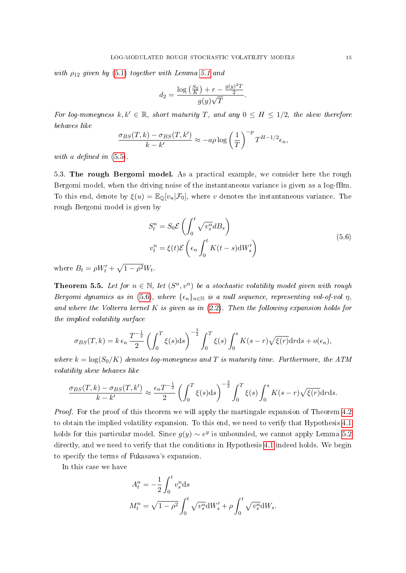with  $\rho_{12}$  given by [\(5.1\)](#page-11-1) together with Lemma [5.1](#page-11-2) and

$$
d_2 = \frac{\log\left(\frac{S_0}{K}\right) + r - \frac{g(y)^2 T}{2}}{g(y)\sqrt{T}}.
$$

For log-moneyness  $k, k' \in \mathbb{R}$ , short maturity T, and any  $0 \leq H \leq 1/2$ , the skew therefore behaves like

$$
\frac{\sigma_{BS}(T,k) - \sigma_{BS}(T,k')}{k - k'} \approx -a\rho \log \left(\frac{1}{T}\right)^{-p} T^{H-1/2} \epsilon_n,
$$

with a defined in  $(5.5)$ .

5.3. The rough Bergomi model. As a practical example, we consider here the rough Bergomi model, when the driving noise of the instantaneous variance is given as a log-fBm. To this end, denote by  $\xi(u) = \mathbb{E}_{\mathbb{Q}}[v_u|\mathcal{F}_0]$ , where v denotes the instantaneous variance. The rough Bergomi model is given by

<span id="page-14-0"></span>
$$
S_t^n = S_0 \mathcal{E} \left( \int_0^t \sqrt{v_s^n} dB_s \right)
$$
  

$$
v_t^n = \xi(t) \mathcal{E} \left( \epsilon_n \int_0^t K(t-s) dW_s' \right)
$$
 (5.6)

where  $B_t = \rho W'_t + \sqrt{1 - \rho^2} W_t$ .

<span id="page-14-1"></span>**Theorem 5.5.** Let for  $n \in \mathbb{N}$ , let  $(S^n, v^n)$  be a stochastic volatility model given with rough Bergomi dynamics as in [\(5.6\)](#page-14-0), where  $\{\epsilon_n\}_{n\in\mathbb{N}}$  is a null sequence, representing vol-of-vol  $\eta$ , and where the Volterra kernel  $K$  is given as in  $(2.2)$ . Then the following expansion holds for the implied volatility surface

$$
\sigma_{BS}(T,k) = k \epsilon_n \frac{T^{-\frac{1}{2}}}{2} \left( \int_0^T \xi(s) \mathrm{d}s \right)^{-\frac{3}{2}} \int_0^T \xi(s) \int_0^s K(s-r) \sqrt{\xi(r)} \mathrm{d}r \mathrm{d}s + o(\epsilon_n),
$$

where  $k = \log(S_0/K)$  denotes log-moneyness and T is maturity time. Furthermore, the ATM volatility skew behaves like

$$
\frac{\sigma_{BS}(T,k) - \sigma_{BS}(T,k')}{k - k'} \approx \frac{\epsilon_n T^{-\frac{1}{2}}}{2} \left( \int_0^T \xi(s) \mathrm{d}s \right)^{-\frac{3}{2}} \int_0^T \xi(s) \int_0^s K(s-r) \sqrt{\xi(r)} \mathrm{d}r \mathrm{d}s.
$$

Proof. For the proof of this theorem we will apply the martingale expansion of Theorem [4.2](#page-9-2) to obtain the implied volatility expansion. To this end, we need to verify that Hypothesis [4.1](#page-9-0) holds for this particular model. Since  $g(y) \sim e^y$  is unbounded, we cannot apply Lemma [5.2](#page-12-1) directly, and we need to verify that the conditions in Hypothesis [4.1](#page-9-0) indeed holds. We begin to specify the terms of Fukasawa's expansion.

In this case we have

$$
A_t^n = -\frac{1}{2} \int_0^t v_s^n ds
$$
  

$$
M_t^n = \sqrt{1 - \rho^2} \int_0^t \sqrt{v_s^n} dW_s' + \rho \int_0^t \sqrt{v_s^n} dW_s.
$$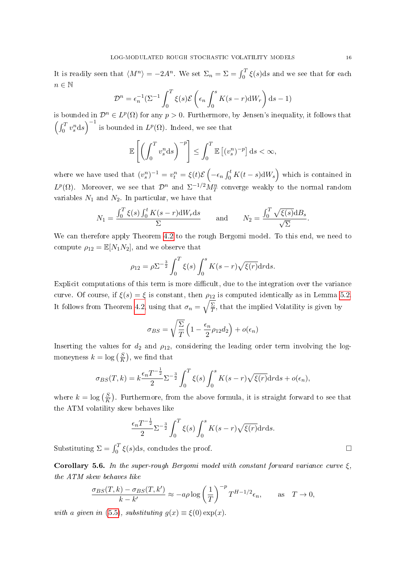It is readily seen that  $\langle M^n \rangle = -2A^n$ . We set  $\Sigma_n = \Sigma = \int_0^T \xi(s) ds$  and we see that for each  $n\in\mathbb{N}$ 

$$
\mathcal{D}^{n} = \epsilon_{n}^{-1} \left( \Sigma^{-1} \int_{0}^{T} \xi(s) \mathcal{E} \left( \epsilon_{n} \int_{0}^{s} K(s-r) dW_{r} \right) ds - 1 \right)
$$

is bounded in  $\mathcal{D}^n \in L^p(\Omega)$  for any  $p > 0$ . Furthermore, by Jensen's inequality, it follows that  $\left(\int_0^T v_s^n ds\right)^{-1}$  is bounded in  $L^p(\Omega)$ . Indeed, we see that

$$
\mathbb{E}\left[\left(\int_0^T v_s^n \mathrm{d}s\right)^{-p}\right] \leq \int_0^T \mathbb{E}\left[(v_s^n)^{-p}\right] \mathrm{d}s < \infty,
$$

where we have used that  $(v_s^n)^{-1} = v_t^n = \xi(t)\mathcal{E}\left(-\epsilon_n\int_0^t K(t-s)\mathrm{d}W_s\right)$  which is contained in  $L^p(\Omega)$ . Moreover, we see that  $\mathcal{D}^n$  and  $\Sigma^{-1/2} M_T^n$  converge weakly to the normal random variables  $N_1$  and  $N_2$ . In particular, we have that

$$
N_1 = \frac{\int_0^T \xi(s) \int_0^t K(s-r) \mathrm{d}W_r \mathrm{d}s}{\Sigma} \quad \text{and} \quad N_2 = \frac{\int_0^T \sqrt{\xi(s)} \mathrm{d}B_s}{\sqrt{\Sigma}}.
$$

We can therefore apply Theorem [4.2](#page-9-2) to the rough Bergomi model. To this end, we need to compute  $\rho_{12} = \mathbb{E}[N_1N_2]$ , and we observe that

$$
\rho_{12} = \rho \Sigma^{-\frac{3}{2}} \int_0^T \xi(s) \int_0^s K(s-r) \sqrt{\xi(r)} dr ds.
$$

Explicit computations of this term is more difficult, due to the integration over the variance curve. Of course, if  $\xi(s) = \xi$  is constant, then  $\rho_{12}$  is computed identically as in Lemma [5.2.](#page-12-1) It follows from Theorem [4.2,](#page-9-2) using that  $\sigma_n = \sqrt{\frac{\Sigma}{T}}$  $\frac{\Sigma}{T}$ , that the implied Volatility is given by

$$
\sigma_{BS} = \sqrt{\frac{\Sigma}{T}} \left( 1 - \frac{\epsilon_n}{2} \rho_{12} d_2 \right) + o(\epsilon_n)
$$

Inserting the values for  $d_2$  and  $\rho_{12}$ , considering the leading order term involving the logmoneyness  $k = \log\left(\frac{S}{K}\right)$  $\frac{S}{K}$ ), we find that

$$
\sigma_{BS}(T,k) = k \frac{\epsilon_n T^{-\frac{1}{2}}}{2} \Sigma^{-\frac{3}{2}} \int_0^T \xi(s) \int_0^s K(s-r) \sqrt{\xi(r)} dr ds + o(\epsilon_n),
$$

where  $k = \log \left( \frac{S}{K} \right)$  $\frac{S}{K}$ ). Furthermore, from the above formula, it is straight forward to see that the ATM volatility skew behaves like

$$
\frac{\epsilon_n T^{-\frac{1}{2}}}{2} \Sigma^{-\frac{3}{2}} \int_0^T \xi(s) \int_0^s K(s-r) \sqrt{\xi(r)} dr ds.
$$

Substituting  $\Sigma = \int_0^T \xi(s) ds$ , concludes the proof.

Corollary 5.6. In the super-rough Bergomi model with constant forward variance curve  $\xi$ . the ATM skew behaves like

$$
\frac{\sigma_{BS}(T,k) - \sigma_{BS}(T,k')}{k - k'} \approx -a\rho \log \left(\frac{1}{T}\right)^{-p} T^{H-1/2} \epsilon_n, \quad \text{as} \quad T \to 0,
$$

with a given in [\(5.5\)](#page-13-1), substituting  $g(x) \equiv \xi(0) \exp(x)$ .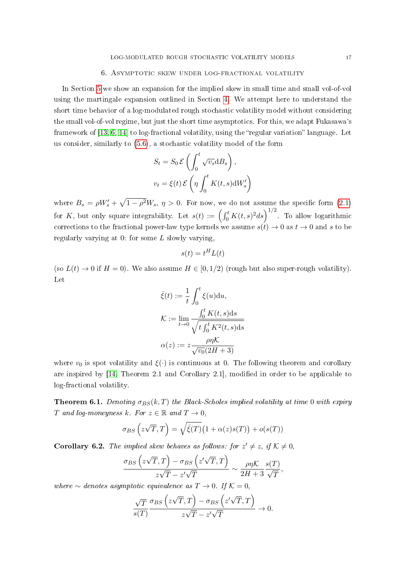# 6. Asymptotic skew under log-fractional volatility

<span id="page-16-0"></span>In Section [5](#page-11-0) we show an expansion for the implied skew in small time and small vol-of-vol using the martingale expansion outlined in Section [4.](#page-8-0) We attempt here to understand the short time behavior of a log-modulated rough stochastic volatility model without considering the small vol-of-vol regime, but just the short time asymptotics. For this, we adapt Fukasawa's framework of  $[13, 6, 14]$  $[13, 6, 14]$  $[13, 6, 14]$  to log-fractional volatility, using the "regular variation" language. Let us consider, similarly to [\(5.6\)](#page-14-0), a stochastic volatility model of the form

$$
S_t = S_0 \mathcal{E} \left( \int_0^t \sqrt{v_s} \, dB_s \right),
$$
  

$$
v_t = \xi(t) \mathcal{E} \left( \eta \int_0^t K(t, s) \, dW'_s \right)
$$

where  $B_s = \rho W_s' + \sqrt{1 - \rho^2} W_s$ ,  $\eta > 0$ . For now, we do not assume the specific form [\(2.1\)](#page-4-1) for K, but only square integrability. Let  $s(t) := \left(\int_0^t K(t,s)^2 ds\right)^{1/2}$ . To allow logarithmic corrections to the fractional power-law type kernels we assume  $s(t) \to 0$  as  $t \to 0$  and s to be regularly varying at  $0$ : for some  $L$  slowly varying,

$$
s(t) = t^H L(t)
$$

(so  $L(t) \to 0$  if  $H = 0$ ). We also assume  $H \in [0, 1/2)$  (rough but also super-rough volatility). Let

$$
\bar{\xi}(t) := \frac{1}{t} \int_0^t \xi(u) \mathrm{d}u,
$$

$$
\mathcal{K} := \lim_{t \to 0} \frac{\int_0^t K(t, s) \mathrm{d}s}{\sqrt{t \int_0^t K^2(t, s) \mathrm{d}s}}
$$

$$
\alpha(z) := z \frac{\rho \eta \mathcal{K}}{\sqrt{v_0}(2H + 3)}
$$

where  $v_0$  is spot volatility and  $\xi(\cdot)$  is continuous at 0. The following theorem and corollary are inspired by [\[14,](#page-23-16) Theorem 2.1 and Corollary 2.1], modified in order to be applicable to log-fractional volatility.

**Theorem 6.1.** Denoting  $\sigma_{BS}(k,T)$  the Black-Scholes implied volatility at time 0 with expiry T and log-moneyness k. For  $z \in \mathbb{R}$  and  $T \to 0$ ,

$$
\sigma_{BS} \left( z\sqrt{T}, T \right) = \sqrt{\bar{\xi}(T)} \big( 1 + \alpha(z)s(T) \big) + o(s(T))
$$

<span id="page-16-1"></span>**Corollary 6.2.** The implied skew behaves as follows: for  $z' \neq z$ , if  $K \neq 0$ ,

$$
\frac{\sigma_{BS} (z\sqrt{T}, T) - \sigma_{BS} (z'\sqrt{T}, T)}{z\sqrt{T} - z'\sqrt{T}} \sim \frac{\rho\eta\mathcal{K}}{2H + 3} \frac{s(T)}{\sqrt{T}},
$$

where  $\sim$  denotes asymptotic equivalence as  $T \to 0$ . If  $K = 0$ ,

$$
\frac{\sqrt{T}}{s(T)} \frac{\sigma_{BS} (z\sqrt{T}, T) - \sigma_{BS} (z'\sqrt{T}, T)}{z\sqrt{T} - z'\sqrt{T}} \to 0.
$$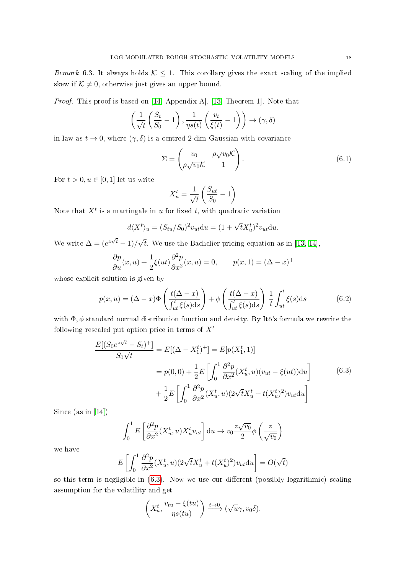Remark 6.3. It always holds  $K \leq 1$ . This corollary gives the exact scaling of the implied skew if  $K \neq 0$ , otherwise just gives an upper bound.

Proof. This proof is based on [\[14,](#page-23-16) Appendix A], [\[13,](#page-23-17) Theorem 1]. Note that

$$
\left(\frac{1}{\sqrt{t}}\left(\frac{S_t}{S_0} - 1\right), \frac{1}{\eta s(t)}\left(\frac{v_t}{\xi(t)} - 1\right)\right) \to (\gamma, \delta)
$$

in law as  $t \to 0$ , where  $(\gamma, \delta)$  is a centred 2-dim Gaussian with covariance

<span id="page-17-1"></span>
$$
\Sigma = \begin{pmatrix} v_0 & \rho \sqrt{v_0} \mathcal{K} \\ \rho \sqrt{v_0} \mathcal{K} & 1 \end{pmatrix} . \tag{6.1}
$$

For  $t > 0, u \in [0, 1]$  let us write

$$
X_u^t = \frac{1}{\sqrt{t}} \left( \frac{S_{ut}}{S_0} - 1 \right)
$$

Note that  $X^t$  is a martingale in u for fixed t, with quadratic variation

$$
d\langle X^t \rangle_u = (S_{tu}/S_0)^2 v_{ut} \mathrm{d}u = (1 + \sqrt{t} X^t_u)^2 v_{ut} \mathrm{d}u.
$$

We write  $\Delta = (e^{z\sqrt{t}}-1)/\sqrt{t}$ t. We use the Bachelier pricing equation as in  $[13, 14]$  $[13, 14]$ ,

$$
\frac{\partial p}{\partial u}(x, u) + \frac{1}{2}\xi(ut)\frac{\partial^2 p}{\partial x^2}(x, u) = 0, \qquad p(x, 1) = (\Delta - x)^+
$$

whose explicit solution is given by

<span id="page-17-2"></span>
$$
p(x, u) = (\Delta - x)\Phi\left(\frac{t(\Delta - x)}{\int_{ut}^{t}\xi(s)ds}\right) + \phi\left(\frac{t(\Delta - x)}{\int_{ut}^{t}\xi(s)ds}\right) \frac{1}{t} \int_{ut}^{t}\xi(s)ds
$$
(6.2)

with  $\Phi$ ,  $\phi$  standard normal distribution function and density. By Itô's formula we rewrite the following rescaled put option price in terms of  $X<sup>t</sup>$ 

$$
\frac{E[(S_0 e^{z\sqrt{t}} - S_t)^+] }{S_0 \sqrt{t}} = E[(\Delta - X_1^t)^+] = E[p(X_1^t, 1)]
$$
  
=  $p(0, 0) + \frac{1}{2} E\left[\int_0^1 \frac{\partial^2 p}{\partial x^2} (X_u^t, u)(v_{ut} - \xi(ut)) du\right]$  (6.3)  
+  $\frac{1}{2} E\left[\int_0^1 \frac{\partial^2 p}{\partial x^2} (X_u^t, u)(2\sqrt{t}X_u^t + t(X_u^t)^2) v_{ut} du\right]$ 

<span id="page-17-0"></span>Since (as in [\[14\]](#page-23-16))

$$
\int_0^1 E\left[\frac{\partial^2 p}{\partial x^2} (X_u^t, u) X_u^t v_{ut}\right] du \to v_0 \frac{z\sqrt{v_0}}{2} \phi\left(\frac{z}{\sqrt{v_0}}\right)
$$

we have

$$
E\left[\int_0^1 \frac{\partial^2 p}{\partial x^2} (X_u^t, u) (2\sqrt{t} X_u^t + t(X_u^t)^2) v_{ut} \mathrm{d}u\right] = O(\sqrt{t})
$$

so this term is negligible in  $(6.3)$ . Now we use our different (possibly logarithmic) scaling assumption for the volatility and get

$$
\left(X_u^t, \frac{v_{tu} - \xi(tu)}{\eta s(tu)}\right) \xrightarrow{t \to 0} (\sqrt{u}\gamma, v_0\delta).
$$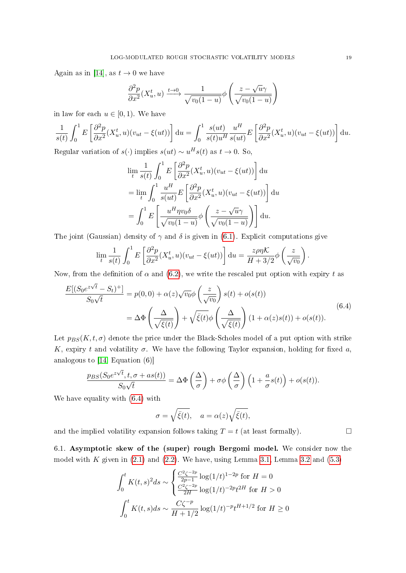Again as in [\[14\]](#page-23-16), as  $t \to 0$  we have

$$
\frac{\partial^2 p}{\partial x^2} (X_u^t, u) \xrightarrow{t \to 0} \frac{1}{\sqrt{v_0(1 - u)}} \phi \left( \frac{z - \sqrt{u}\gamma}{\sqrt{v_0(1 - u)}} \right)
$$

in law for each  $u \in [0, 1)$ . We have

$$
\frac{1}{s(t)} \int_0^1 E\left[\frac{\partial^2 p}{\partial x^2} (X_u^t, u)(v_{ut} - \xi(ut))\right] du = \int_0^1 \frac{s(ut)}{s(t)u^H} \frac{u^H}{s(ut)} E\left[\frac{\partial^2 p}{\partial x^2} (X_u^t, u)(v_{ut} - \xi(ut))\right] du.
$$
  
Recular variation of  $s(t)$  implies  $s(ut) \propto u^H s(t)$  as  $t \to 0$ . So

Regular variation of  $s(\cdot)$  implies  $s(ut) \sim u^H s(t)$  as  $t \to 0$ . So,

$$
\lim_{t} \frac{1}{s(t)} \int_{0}^{1} E\left[\frac{\partial^2 p}{\partial x^2} (X_u^t, u)(v_{ut} - \xi(ut))\right] du
$$
  
\n
$$
= \lim_{t} \int_{0}^{1} \frac{u^H}{s(ut)} E\left[\frac{\partial^2 p}{\partial x^2} (X_u^t, u)(v_{ut} - \xi(ut))\right] du
$$
  
\n
$$
= \int_{0}^{1} E\left[\frac{u^H \eta v_0 \delta}{\sqrt{v_0(1 - u)}} \phi\left(\frac{z - \sqrt{u}\gamma}{\sqrt{v_0(1 - u)}}\right)\right] du.
$$

The joint (Gaussian) density of  $\gamma$  and  $\delta$  is given in [\(6.1\)](#page-17-1). Explicit computations give

$$
\lim_{t} \frac{1}{s(t)} \int_0^1 E\left[\frac{\partial^2 p}{\partial x^2} (X_u^t, u)(v_{ut} - \xi(ut))\right] du = \frac{z\rho\eta\mathcal{K}}{H + 3/2} \phi\left(\frac{z}{\sqrt{v_0}}\right).
$$

Now, from the definition of  $\alpha$  and [\(6.2\)](#page-17-2), we write the rescaled put option with expiry t as

<span id="page-18-0"></span>
$$
\frac{E[(S_0 e^{z\sqrt{t}} - S_t)^+] }{S_0 \sqrt{t}} = p(0,0) + \alpha(z) \sqrt{v_0} \phi\left(\frac{z}{\sqrt{v_0}}\right) s(t) + o(s(t))
$$
  
=  $\Delta \Phi \left(\frac{\Delta}{\sqrt{\xi(t)}}\right) + \sqrt{\overline{\xi}(t)} \phi\left(\frac{\Delta}{\sqrt{\overline{\xi}(t)}}\right) (1 + \alpha(z)s(t)) + o(s(t)).$  (6.4)

Let  $p_{BS}(K, t, \sigma)$  denote the price under the Black-Scholes model of a put option with strike K, expiry t and volatility  $\sigma$ . We have the following Taylor expansion, holding for fixed a, analogous to [\[14,](#page-23-16) Equation (6)]

$$
\frac{p_{BS}(S_0 e^{z\sqrt{t}}, t, \sigma + as(t))}{S_0 \sqrt{t}} = \Delta \Phi \left(\frac{\Delta}{\sigma}\right) + \sigma \phi \left(\frac{\Delta}{\sigma}\right) \left(1 + \frac{a}{\sigma} s(t)\right) + o(s(t)).
$$

We have equality with [\(6.4\)](#page-18-0) with

$$
\sigma = \sqrt{\bar{\xi}(t)}, \quad a = \alpha(z) \sqrt{\bar{\xi}(t)},
$$

and the implied volatility expansion follows taking  $T = t$  (at least formally).

6.1. Asymptotic skew of the (super) rough Bergomi model. We consider now the model with K given in  $(2.1)$  and  $(2.2)$ . We have, using Lemma [3.1,](#page-6-2) Lemma [3.2](#page-6-1) and  $(5.3)$ 

$$
\int_0^t K(t,s)^2 ds \sim \begin{cases} \frac{C^2 \zeta^{-2p}}{2p-1} \log(1/t)^{1-2p} \text{ for } H = 0\\ \frac{C^2 \zeta^{-2p}}{2H} \log(1/t)^{-2p} t^{2H} \text{ for } H > 0 \end{cases}
$$

$$
\int_0^t K(t,s) ds \sim \frac{C \zeta^{-p}}{H + 1/2} \log(1/t)^{-p} t^{H+1/2} \text{ for } H \ge 0
$$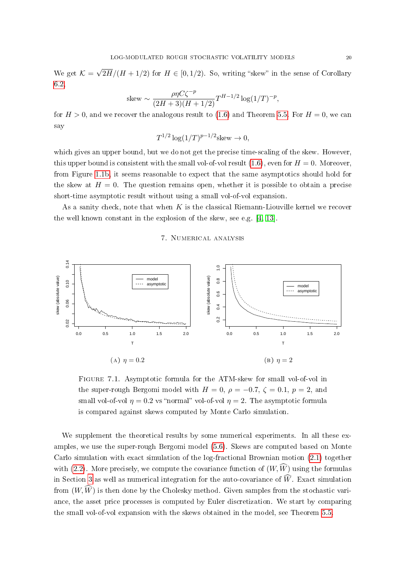We get  $\mathcal{K} =$ √  $2H/(H + 1/2)$  for  $H \in [0, 1/2)$ . So, writing "skew" in the sense of Corollary [6.2,](#page-16-1)

skew ~ 
$$
\frac{\rho \eta C \zeta^{-p}}{(2H+3)(H+1/2)} T^{H-1/2} \log(1/T)^{-p}
$$
,

for  $H > 0$ , and we recover the analogous result to [\(1.6\)](#page-3-1) and Theorem [5.5.](#page-14-1) For  $H = 0$ , we can say

$$
T^{1/2}\log(1/T)^{p-1/2}
$$
skew  $\to 0$ ,

which gives an upper bound, but we do not get the precise time-scaling of the skew. However, this upper bound is consistent with the small vol-of-vol result  $(1.6)$ , even for  $H = 0$ . Moreover, from Figure [1.1b,](#page-3-0) it seems reasonable to expect that the same asymptotics should hold for the skew at  $H = 0$ . The question remains open, whether it is possible to obtain a precise short-time asymptotic result without using a small vol-of-vol expansion.

As a sanity check, note that when  $K$  is the classical Riemann-Liouville kernel we recover the well known constant in the explosion of the skew, see e.g. [\[4,](#page-22-5) [13\]](#page-23-17).

# 7. Numerical analysis

<span id="page-19-1"></span><span id="page-19-0"></span>

Figure 7.1. Asymptotic formula for the ATM-skew for small vol-of-vol in the super-rough Bergomi model with  $H = 0$ ,  $\rho = -0.7$ ,  $\zeta = 0.1$ ,  $p = 2$ , and small vol-of-vol  $\eta = 0.2$  vs "normal" vol-of-vol  $\eta = 2$ . The asymptotic formula is compared against skews computed by Monte Carlo simulation.

We supplement the theoretical results by some numerical experiments. In all these examples, we use the super-rough Bergomi model [\(5.6\)](#page-14-0). Skews are computed based on Monte Carlo simulation with exact simulation of the log-fractional Brownian motion [\(2.1\)](#page-4-1) together with [\(2.2\)](#page-5-0). More precisely, we compute the covariance function of  $(W, \widehat{W})$  using the formulas in Section [3](#page-6-0) as well as numerical integration for the auto-covariance of  $\widehat{W}$ . Exact simulation from  $(W, \widehat{W})$  is then done by the Cholesky method. Given samples from the stochastic variance, the asset price processes is computed by Euler discretization. We start by comparing the small vol-of-vol expansion with the skews obtained in the model, see Theorem [5.5.](#page-14-1)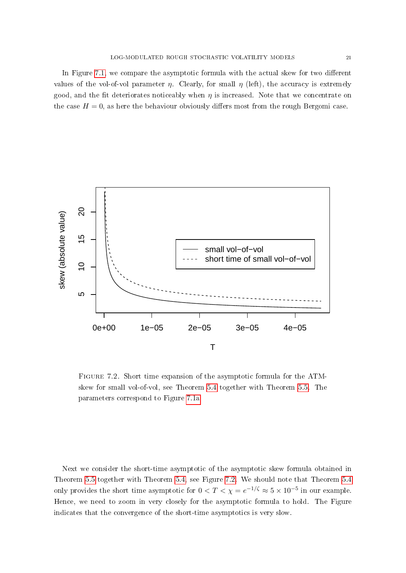In Figure  $7.1$ , we compare the asymptotic formula with the actual skew for two different values of the vol-of-vol parameter  $\eta$ . Clearly, for small  $\eta$  (left), the accuracy is extremely good, and the fit deteriorates noticeably when  $\eta$  is increased. Note that we concentrate on the case  $H = 0$ , as here the behaviour obviously differs most from the rough Bergomi case.

<span id="page-20-0"></span>

Figure 7.2. Short time expansion of the asymptotic formula for the ATMskew for small vol-of-vol, see Theorem [5.4](#page-13-0) together with Theorem [5.5.](#page-14-1) The parameters correspond to Figure [7.1a](#page-19-1)

Next we consider the short-time asymptotic of the asymptotic skew formula obtained in Theorem [5.5](#page-14-1) together with Theorem [5.4,](#page-13-0) see Figure [7.2.](#page-20-0) We should note that Theorem [5.4](#page-13-0) only provides the short time asymptotic for  $0 < T < \chi = e^{-1/\zeta} \approx 5 \times 10^{-5}$  in our example. Hence, we need to zoom in very closely for the asymptotic formula to hold. The Figure indicates that the convergence of the short-time asymptotics is very slow.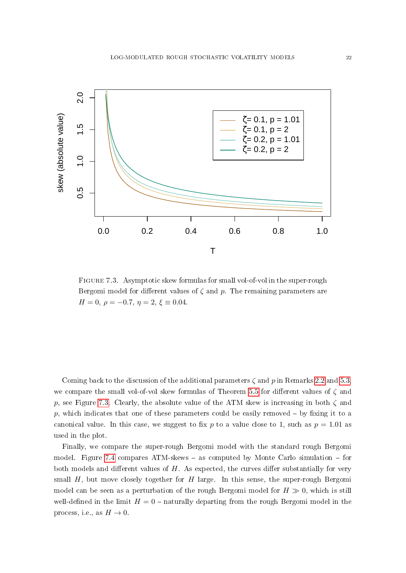<span id="page-21-0"></span>

Figure 7.3. Asymptotic skew formulas for small vol-of-vol in the super-rough Bergomi model for different values of  $\zeta$  and  $p$ . The remaining parameters are  $H = 0, \ \rho = -0.7, \ \eta = 2, \ \xi \equiv 0.04.$ 

Coming back to the discussion of the additional parameters  $\zeta$  and p in Remarks [2.2](#page-6-3) and [5.3,](#page-13-3) we compare the small vol-of-vol skew formulas of Theorem [5.5](#page-14-1) for different values of  $\zeta$  and p, see Figure [7.3.](#page-21-0) Clearly, the absolute value of the ATM skew is increasing in both  $\zeta$  and p, which indicates that one of these parameters could be easily removed  $-$  by fixing it to a canonical value. In this case, we suggest to fix p to a value close to 1, such as  $p = 1.01$  as used in the plot.

Finally, we compare the super-rough Bergomi model with the standard rough Bergomi model. Figure [7.4](#page-22-8) compares ATM-skews  $-$  as computed by Monte Carlo simulation  $-$  for both models and different values of  $H$ . As expected, the curves differ substantially for very small  $H$ , but move closely together for  $H$  large. In this sense, the super-rough Bergomi model can be seen as a perturbation of the rough Bergomi model for  $H \gg 0$ , which is still well-defined in the limit  $H = 0$  – naturally departing from the rough Bergomi model in the process, i.e., as  $H \to 0$ .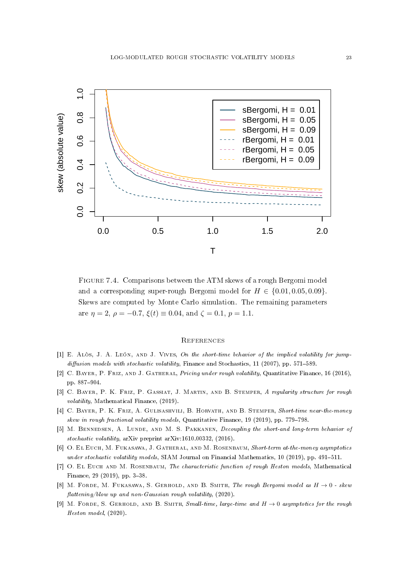<span id="page-22-8"></span>

Figure 7.4. Comparisons between the ATM skews of a rough Bergomi model and a corresponding super-rough Bergomi model for  $H \in \{0.01, 0.05, 0.09\}$ . Skews are computed by Monte Carlo simulation. The remaining parameters are  $\eta = 2$ ,  $\rho = -0.7$ ,  $\xi(t) \equiv 0.04$ , and  $\zeta = 0.1$ ,  $p = 1.1$ .

# **REFERENCES**

- <span id="page-22-2"></span>[1] E. Alòs, J. A. León, and J. Vives, On the short-time behavior of the implied volatility for jump $diffusion$  models with stochastic volatility, Finance and Stochastics, 11 (2007), pp. 571-589.
- <span id="page-22-1"></span>[2] C. BAYER, P. FRIZ, AND J. GATHERAL, Pricing under rough volatility, Quantitative Finance, 16 (2016), pp. 887-904.
- <span id="page-22-4"></span>[3] C. BAYER, P. K. FRIZ, P. GASSIAT, J. MARTIN, AND B. STEMPER, A regularity structure for rough volatility, Mathematical Finance, (2019).
- <span id="page-22-5"></span>[4] C. Bayer, P. K. Friz, A. Gulisashvili, B. Horvath, and B. Stemper, Short-time near-the-money skew in rough fractional volatility models, Quantitative Finance,  $19$  (2019), pp. 779-798.
- <span id="page-22-0"></span>[5] M. BENNEDSEN, A. LUNDE, AND M. S. PAKKANEN, Decoupling the short-and long-term behavior of stochastic volatility, arXiv preprint arXiv:1610.00332, (2016).
- <span id="page-22-9"></span>[6] O. EL EUCH, M. FUKASAWA, J. GATHERAL, AND M. ROSENBAUM, Short-term at-the-money asymptotics under stochastic volatility models, SIAM Journal on Financial Mathematics, 10 (2019), pp. 491-511.
- <span id="page-22-3"></span>[7] O. EL EUCH AND M. ROSENBAUM, The characteristic function of rough Heston models, Mathematical Finance,  $29$  (2019), pp. 3-38.
- <span id="page-22-6"></span>[8] M. FORDE, M. FUKASAWA, S. GERHOLD, AND B. SMITH, The rough Bergomi model as  $H \to 0$  - skew  $\text{flattening} / \text{blow up}$  and non-Gaussian rough volatility, (2020).
- <span id="page-22-7"></span>[9] M. FORDE, S. GERHOLD, AND B. SMITH, Small-time, large-time and  $H \rightarrow 0$  asymptotics for the rough Heston model, (2020).